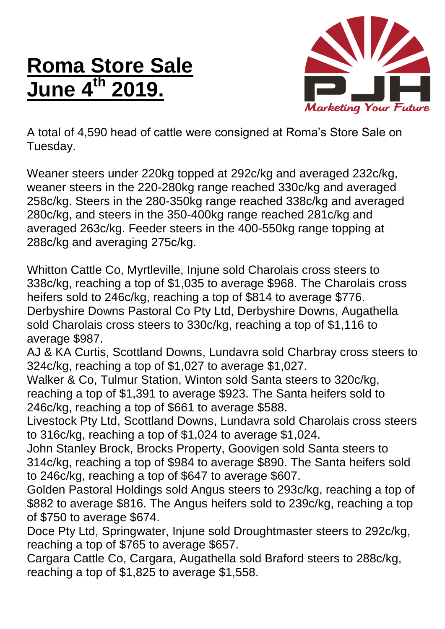## **Roma Store Sale June 4th 2019.**



A total of 4,590 head of cattle were consigned at Roma's Store Sale on Tuesday.

Weaner steers under 220kg topped at 292c/kg and averaged 232c/kg, weaner steers in the 220-280kg range reached 330c/kg and averaged 258c/kg. Steers in the 280-350kg range reached 338c/kg and averaged 280c/kg, and steers in the 350-400kg range reached 281c/kg and averaged 263c/kg. Feeder steers in the 400-550kg range topping at 288c/kg and averaging 275c/kg.

Whitton Cattle Co, Myrtleville, Injune sold Charolais cross steers to 338c/kg, reaching a top of \$1,035 to average \$968. The Charolais cross heifers sold to 246c/kg, reaching a top of \$814 to average \$776. Derbyshire Downs Pastoral Co Pty Ltd, Derbyshire Downs, Augathella sold Charolais cross steers to 330c/kg, reaching a top of \$1,116 to average \$987.

AJ & KA Curtis, Scottland Downs, Lundavra sold Charbray cross steers to 324c/kg, reaching a top of \$1,027 to average \$1,027.

Walker & Co, Tulmur Station, Winton sold Santa steers to 320c/kg, reaching a top of \$1,391 to average \$923. The Santa heifers sold to 246c/kg, reaching a top of \$661 to average \$588.

Livestock Pty Ltd, Scottland Downs, Lundavra sold Charolais cross steers to 316c/kg, reaching a top of \$1,024 to average \$1,024.

John Stanley Brock, Brocks Property, Goovigen sold Santa steers to 314c/kg, reaching a top of \$984 to average \$890. The Santa heifers sold to 246c/kg, reaching a top of \$647 to average \$607.

Golden Pastoral Holdings sold Angus steers to 293c/kg, reaching a top of \$882 to average \$816. The Angus heifers sold to 239c/kg, reaching a top of \$750 to average \$674.

Doce Pty Ltd, Springwater, Injune sold Droughtmaster steers to 292c/kg, reaching a top of \$765 to average \$657.

Cargara Cattle Co, Cargara, Augathella sold Braford steers to 288c/kg, reaching a top of \$1,825 to average \$1,558.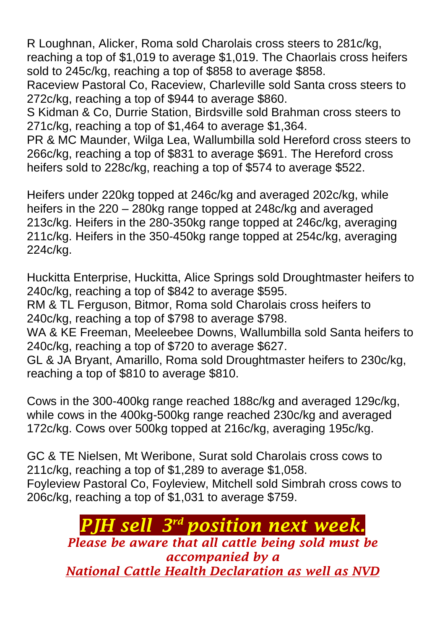R Loughnan, Alicker, Roma sold Charolais cross steers to 281c/kg, reaching a top of \$1,019 to average \$1,019. The Chaorlais cross heifers sold to 245c/kg, reaching a top of \$858 to average \$858.

Raceview Pastoral Co, Raceview, Charleville sold Santa cross steers to 272c/kg, reaching a top of \$944 to average \$860.

S Kidman & Co, Durrie Station, Birdsville sold Brahman cross steers to 271c/kg, reaching a top of \$1,464 to average \$1,364.

PR & MC Maunder, Wilga Lea, Wallumbilla sold Hereford cross steers to 266c/kg, reaching a top of \$831 to average \$691. The Hereford cross heifers sold to 228c/kg, reaching a top of \$574 to average \$522.

Heifers under 220kg topped at 246c/kg and averaged 202c/kg, while heifers in the 220 – 280kg range topped at 248c/kg and averaged 213c/kg. Heifers in the 280-350kg range topped at 246c/kg, averaging 211c/kg. Heifers in the 350-450kg range topped at 254c/kg, averaging 224c/kg.

Huckitta Enterprise, Huckitta, Alice Springs sold Droughtmaster heifers to 240c/kg, reaching a top of \$842 to average \$595.

RM & TL Ferguson, Bitmor, Roma sold Charolais cross heifers to 240c/kg, reaching a top of \$798 to average \$798.

WA & KE Freeman, Meeleebee Downs, Wallumbilla sold Santa heifers to 240c/kg, reaching a top of \$720 to average \$627.

GL & JA Bryant, Amarillo, Roma sold Droughtmaster heifers to 230c/kg, reaching a top of \$810 to average \$810.

Cows in the 300-400kg range reached 188c/kg and averaged 129c/kg, while cows in the 400kg-500kg range reached 230c/kg and averaged 172c/kg. Cows over 500kg topped at 216c/kg, averaging 195c/kg.

GC & TE Nielsen, Mt Weribone, Surat sold Charolais cross cows to 211c/kg, reaching a top of \$1,289 to average \$1,058. Foyleview Pastoral Co, Foyleview, Mitchell sold Simbrah cross cows to 206c/kg, reaching a top of \$1,031 to average \$759.

## *PJH sell 3 3<sup>rd</sup>* **position next week.**

*Please be aware that all cattle being sold must be accompanied by a National Cattle Health Declaration as well as NVD*